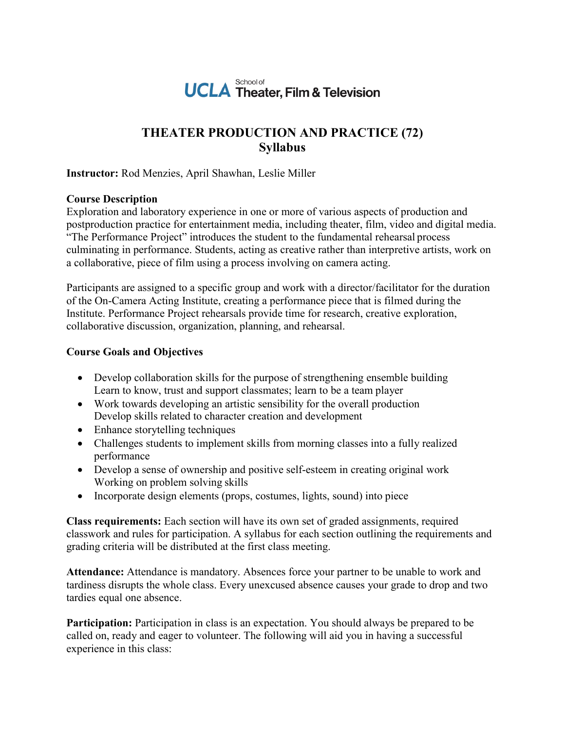

## **THEATER PRODUCTION AND PRACTICE (72) Syllabus**

**Instructor:** Rod Menzies, April Shawhan, Leslie Miller

## **Course Description**

Exploration and laboratory experience in one or more of various aspects of production and postproduction practice for entertainment media, including theater, film, video and digital media. "The Performance Project" introduces the student to the fundamental rehearsal process culminating in performance. Students, acting as creative rather than interpretive artists, work on a collaborative, piece of film using a process involving on camera acting.

Participants are assigned to a specific group and work with a director/facilitator for the duration of the On-Camera Acting Institute, creating a performance piece that is filmed during the Institute. Performance Project rehearsals provide time for research, creative exploration, collaborative discussion, organization, planning, and rehearsal.

## **Course Goals and Objectives**

- Develop collaboration skills for the purpose of strengthening ensemble building Learn to know, trust and support classmates; learn to be a team player
- Work towards developing an artistic sensibility for the overall production Develop skills related to character creation and development
- Enhance storytelling techniques
- Challenges students to implement skills from morning classes into a fully realized performance
- Develop a sense of ownership and positive self-esteem in creating original work Working on problem solving skills
- Incorporate design elements (props, costumes, lights, sound) into piece

**Class requirements:** Each section will have its own set of graded assignments, required classwork and rules for participation. A syllabus for each section outlining the requirements and grading criteria will be distributed at the first class meeting.

**Attendance:** Attendance is mandatory. Absences force your partner to be unable to work and tardiness disrupts the whole class. Every unexcused absence causes your grade to drop and two tardies equal one absence.

**Participation:** Participation in class is an expectation. You should always be prepared to be called on, ready and eager to volunteer. The following will aid you in having a successful experience in this class: